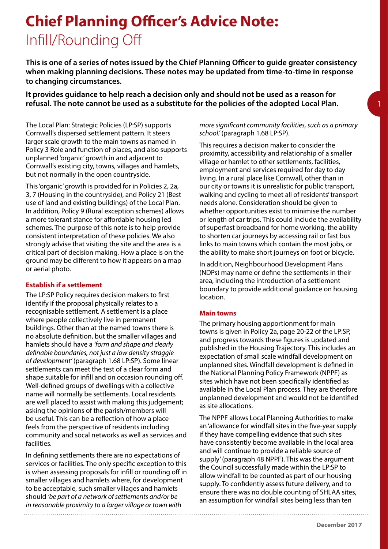# **Chief Planning Officer's Advice Note:** Infill/Rounding Off

**This is one of a series of notes issued by the Chief Planning Officer to guide greater consistency when making planning decisions. These notes may be updated from time-to-time in response to changing circumstances.** 

**It provides guidance to help reach a decision only and should not be used as a reason for refusal. The note cannot be used as a substitute for the policies of the adopted Local Plan.** 

The Local Plan: Strategic Policies (LP:SP) supports Cornwall's dispersed settlement pattern. It steers larger scale growth to the main towns as named in Policy 3 Role and function of places, and also supports unplanned 'organic' growth in and adjacent to Cornwall's existing city, towns, villages and hamlets, but not normally in the open countryside.

This 'organic' growth is provided for in Policies 2, 2a, 3, 7 (Housing in the countryside), and Policy 21 (Best use of land and existing buildings) of the Local Plan. In addition, Policy 9 (Rural exception schemes) allows a more tolerant stance for affordable housing led schemes. The purpose of this note is to help provide consistent interpretation of these policies. We also strongly advise that visiting the site and the area is a critical part of decision making. How a place is on the ground may be different to how it appears on a map or aerial photo.

# **Establish if a settlement**

The LP:SP Policy requires decision makers to first identify if the proposal physically relates to a recognisable settlement. A settlement is a place where people collectively live in permanent buildings. Other than at the named towns there is no absolute definition, but the smaller villages and hamlets should have a *'form and shape and clearly definable boundaries, not just a low density straggle of development'* (paragraph 1.68 LP:SP). Some linear settlements can meet the test of a clear form and shape suitable for infill and on occasion rounding off. Well-defined groups of dwellings with a collective name will normally be settlements. Local residents are well placed to assist with making this judgement; asking the opinions of the parish/members will be useful. This can be a reflection of how a place feels from the perspective of residents including community and socal networks as well as services and facilities.

In defining settlements there are no expectations of services or facilities. The only specific exception to this is when assessing proposals for infill or rounding off in smaller villages and hamlets where, for development to be acceptable, such smaller villages and hamlets should *'be part of a network of settlements and/or be in reasonable proximity to a larger village or town with* 

## *more significant community facilities, such as a primary school.'* (paragraph 1.68 LP:SP).

This requires a decision maker to consider the proximity, accessibility and relationship of a smaller village or hamlet to other settlements, facilities, employment and services required for day to day living. In a rural place like Cornwall, other than in our city or towns it is unrealistic for public transport, walking and cycling to meet all of residents' transport needs alone. Consideration should be given to whether opportunities exist to minimise the number or length of car trips. This could include the availability of superfast broadband for home working, the ability to shorten car journeys by accessing rail or fast bus links to main towns which contain the most jobs, or the ability to make short journeys on foot or bicycle.

In addition, Neighbourhood Development Plans (NDPs) may name or define the settlements in their area, including the introduction of a settlement boundary to provide additional guidance on housing location.

#### **Main towns**

The primary housing apportionment for main towns is given in Policy 2a, page 20-22 of the LP:SP, and progress towards these figures is updated and published in the Housing Trajectory. This includes an expectation of small scale windfall development on unplanned sites. Windfall development is defined in the National Planning Policy Framework (NPPF) as sites which have not been specifically identified as available in the Local Plan process. They are therefore unplanned development and would not be identified as site allocations.

The NPPF allows Local Planning Authorities to make an 'allowance for windfall sites in the five-year supply if they have compelling evidence that such sites have consistently become available in the local area and will continue to provide a reliable source of supply' (paragraph 48 NPPF). This was the argument the Council successfully made within the LP:SP to allow windfall to be counted as part of our housing supply. To confidently assess future delivery, and to ensure there was no double counting of SHLAA sites, an assumption for windfall sites being less than ten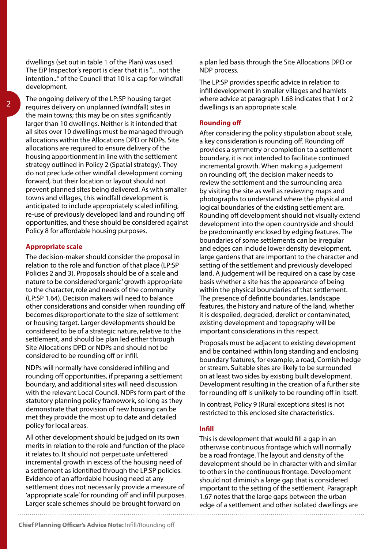The ongoing delivery of the LP:SP housing target requires delivery on unplanned (windfall) sites in the main towns; this may be on sites significantly larger than 10 dwellings. Neither is it intended that all sites over 10 dwellings must be managed through allocations within the Allocations DPD or NDPs. Site allocations are required to ensure delivery of the housing apportionment in line with the settlement strategy outlined in Policy 2 (Spatial strategy). They do not preclude other windfall development coming forward, but their location or layout should not prevent planned sites being delivered. As with smaller towns and villages, this windfall development is anticipated to include appropriately scaled infilling, re-use of previously developed land and rounding off opportunities, and these should be considered against Policy 8 for affordable housing purposes.

# **Appropriate scale**

The decision-maker should consider the proposal in relation to the role and function of that place (LP:SP Policies 2 and 3). Proposals should be of a scale and nature to be considered 'organic' growth appropriate to the character, role and needs of the community (LP:SP 1.64). Decision makers will need to balance other considerations and consider when rounding off becomes disproportionate to the size of settlement or housing target. Larger developments should be considered to be of a strategic nature, relative to the settlement, and should be plan led either through Site Allocations DPD or NDPs and should not be considered to be rounding off or infill.

NDPs will normally have considered infilling and rounding off opportunities, if preparing a settlement boundary, and additional sites will need discussion with the relevant Local Council. NDPs form part of the statutory planning policy framework, so long as they demonstrate that provision of new housing can be met they provide the most up to date and detailed policy for local areas.

All other development should be judged on its own merits in relation to the role and function of the place it relates to. It should not perpetuate unfettered incremental growth in excess of the housing need of a settlement as identified through the LP:SP policies. Evidence of an affordable housing need at any settlement does not necessarily provide a measure of 'appropriate scale' for rounding off and infill purposes. Larger scale schemes should be brought forward on

a plan led basis through the Site Allocations DPD or NDP process.

The LP:SP provides specific advice in relation to infill development in smaller villages and hamlets where advice at paragraph 1.68 indicates that 1 or 2 dwellings is an appropriate scale.

# **Rounding off**

After considering the policy stipulation about scale, a key consideration is rounding off. Rounding off provides a symmetry or completion to a settlement boundary, it is not intended to facilitate continued incremental growth. When making a judgement on rounding off, the decision maker needs to review the settlement and the surrounding area by visiting the site as well as reviewing maps and photographs to understand where the physical and logical boundaries of the existing settlement are. Rounding off development should not visually extend development into the open countryside and should be predominantly enclosed by edging features. The boundaries of some settlements can be irregular and edges can include lower density development, large gardens that are important to the character and setting of the settlement and previously developed land. A judgement will be required on a case by case basis whether a site has the appearance of being within the physical boundaries of that settlement. The presence of definite boundaries, landscape features, the history and nature of the land, whether it is despoiled, degraded, derelict or contaminated, existing development and topography will be important considerations in this respect.

Proposals must be adjacent to existing development and be contained within long standing and enclosing boundary features, for example, a road, Cornish hedge or stream. Suitable sites are likely to be surrounded on at least two sides by existing built development. Development resulting in the creation of a further site for rounding off is unlikely to be rounding off in itself.

In contrast, Policy 9 (Rural exceptions sites) is not restricted to this enclosed site characteristics.

# **Infill**

This is development that would fill a gap in an otherwise continuous frontage which will normally be a road frontage. The layout and density of the development should be in character with and similar to others in the continuous frontage. Development should not diminish a large gap that is considered important to the setting of the settlement. Paragraph 1.67 notes that the large gaps between the urban edge of a settlement and other isolated dwellings are